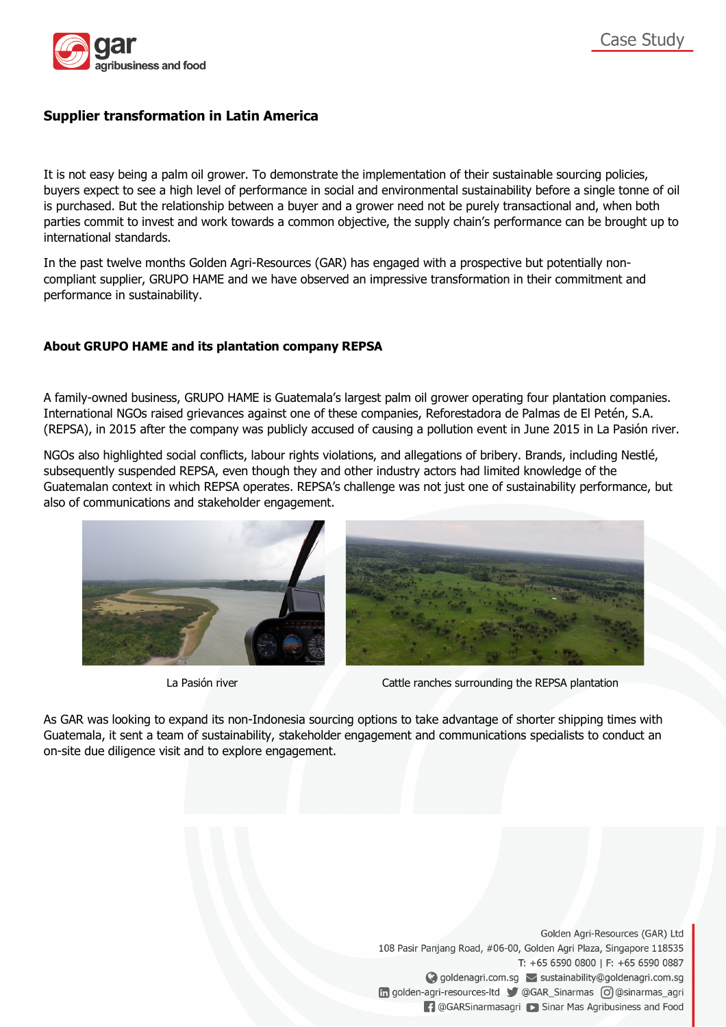

# **Supplier transformation in Latin America**

It is not easy being a palm oil grower. To demonstrate the implementation of their sustainable sourcing policies, buyers expect to see a high level of performance in social and environmental sustainability before a single tonne of oil is purchased. But the relationship between a buyer and a grower need not be purely transactional and, when both parties commit to invest and work towards a common objective, the supply chain's performance can be brought up to international standards.

In the past twelve months Golden Agri-Resources (GAR) has engaged with a prospective but potentially noncompliant supplier, GRUPO HAME and we have observed an impressive transformation in their commitment and performance in sustainability.

# **About GRUPO HAME and its plantation company REPSA**

A family-owned business, GRUPO HAME is Guatemala's largest palm oil grower operating four plantation companies. International NGOs raised grievances against one of these companies, Reforestadora de Palmas de El Petén, S.A. (REPSA), in 2015 after the company was publicly accused of causing a pollution event in June 2015 in La Pasión river.

NGOs also highlighted social conflicts, labour rights violations, and allegations of bribery. Brands, including Nestlé, subsequently suspended REPSA, even though they and other industry actors had limited knowledge of the Guatemalan context in which REPSA operates. REPSA's challenge was not just one of sustainability performance, but also of communications and stakeholder engagement.





La Pasión river **Cattle ranches surrounding the REPSA plantation** 

As GAR was looking to expand its non-Indonesia sourcing options to take advantage of shorter shipping times with Guatemala, it sent a team of sustainability, stakeholder engagement and communications specialists to conduct an on-site due diligence visit and to explore engagement.

> Golden Agri-Resources (GAR) Ltd 108 Pasir Panjang Road, #06-00, Golden Agri Plaza, Singapore 118535 T: +65 6590 0800 | F: +65 6590 0887 ◆ goldenagri.com.sg > sustainability@goldenagri.com.sg in golden-agri-resources-ltd CGAR\_Sinarmas o @Sinarmas\_agri **[-]** @GARSinarmasagri [ > Sinar Mas Agribusiness and Food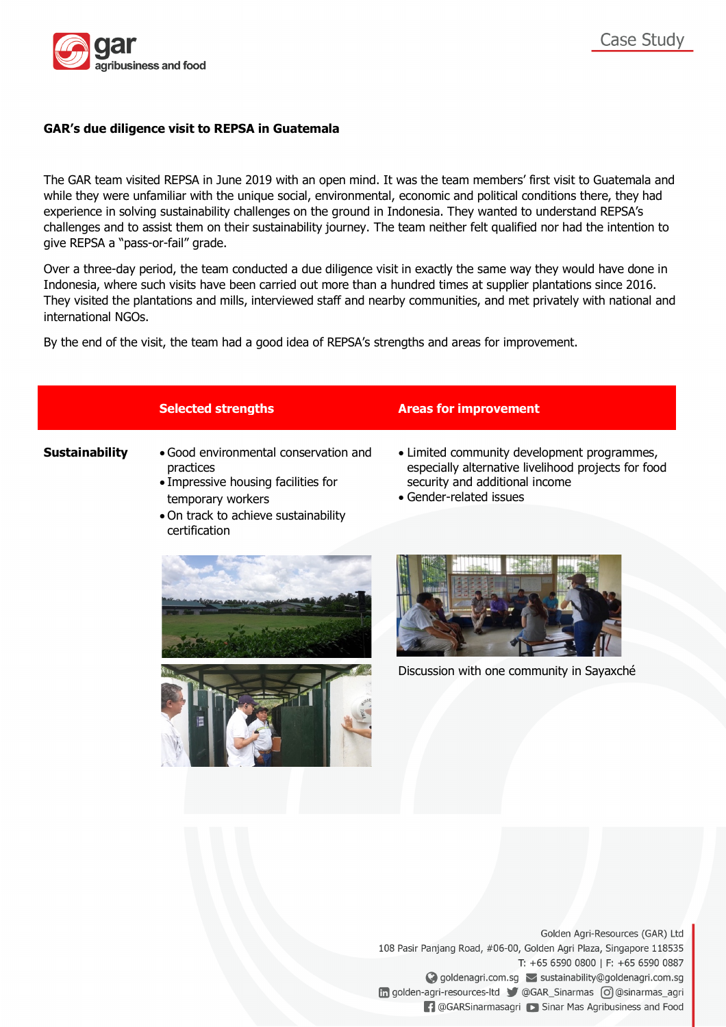

## **GAR's due diligence visit to REPSA in Guatemala**

The GAR team visited REPSA in June 2019 with an open mind. It was the team members' first visit to Guatemala and while they were unfamiliar with the unique social, environmental, economic and political conditions there, they had experience in solving sustainability challenges on the ground in Indonesia. They wanted to understand REPSA's challenges and to assist them on their sustainability journey. The team neither felt qualified nor had the intention to give REPSA a "pass-or-fail" grade.

Over a three-day period, the team conducted a due diligence visit in exactly the same way they would have done in Indonesia, where such visits have been carried out more than a hundred times at supplier plantations since 2016. They visited the plantations and mills, interviewed staff and nearby communities, and met privately with national and international NGOs.

By the end of the visit, the team had a good idea of REPSA's strengths and areas for improvement.

- **Sustainability** Good environmental conservation and practices
	- Impressive housing facilities for temporary workers
	- On track to achieve sustainability certification

### **Selected strengths Areas for improvement**

- Limited community development programmes, especially alternative livelihood projects for food security and additional income
- Gender-related issues





Discussion with one community in Sayaxché

Golden Agri-Resources (GAR) Ltd 108 Pasir Panjang Road, #06-00, Golden Agri Plaza, Singapore 118535 T: +65 6590 0800 | F: +65 6590 0887 ◆ goldenagri.com.sg > sustainability@goldenagri.com.sg in golden-agri-resources-ltd CGAR\_Sinarmas o @Sinarmas\_agri **1** @GARSinarmasagri **D** Sinar Mas Agribusiness and Food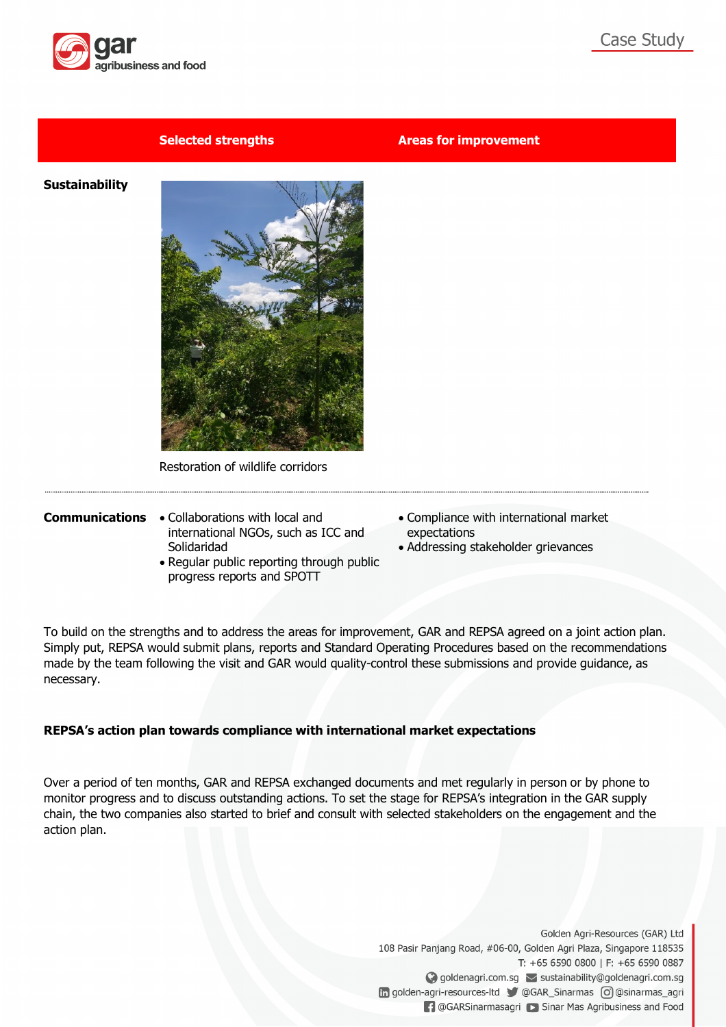

### **Selected strengths Areas for improvement**

**Sustainability**



Restoration of wildlife corridors

- **Communications** Collaborations with local and international NGOs, such as ICC and Solidaridad
	- Regular public reporting through public progress reports and SPOTT
- Compliance with international market expectations
- Addressing stakeholder grievances

To build on the strengths and to address the areas for improvement, GAR and REPSA agreed on a joint action plan. Simply put, REPSA would submit plans, reports and Standard Operating Procedures based on the recommendations made by the team following the visit and GAR would quality-control these submissions and provide guidance, as necessary.

# **REPSA's action plan towards compliance with international market expectations**

Over a period of ten months, GAR and REPSA exchanged documents and met regularly in person or by phone to monitor progress and to discuss outstanding actions. To set the stage for REPSA's integration in the GAR supply chain, the two companies also started to brief and consult with selected stakeholders on the engagement and the action plan.

> Golden Agri-Resources (GAR) Ltd 108 Pasir Panjang Road, #06-00, Golden Agri Plaza, Singapore 118535 T: +65 6590 0800 | F: +65 6590 0887 ◆ goldenagri.com.sg > sustainability@goldenagri.com.sg in golden-agri-resources-ltd CGAR\_Sinarmas o @Sinarmas\_agri **[4] @GARSinarmasagri** [> Sinar Mas Agribusiness and Food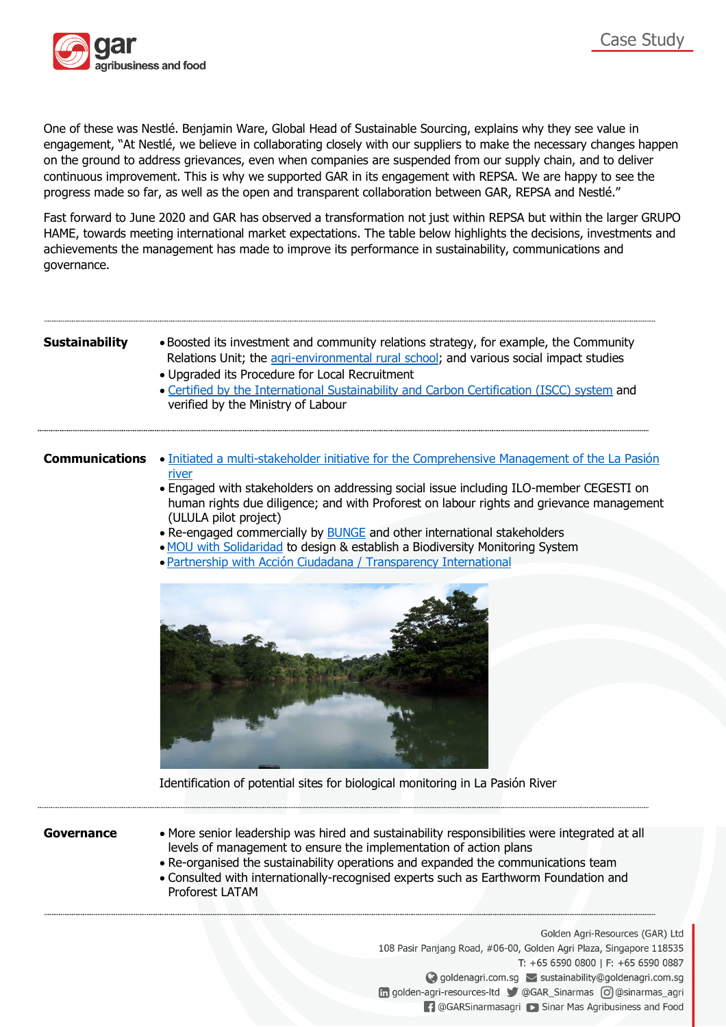

One of these was Nestlé. Benjamin Ware, Global Head of Sustainable Sourcing, explains why they see value in engagement, "At Nestlé, we believe in collaborating closely with our suppliers to make the necessary changes happen on the ground to address grievances, even when companies are suspended from our supply chain, and to deliver continuous improvement. This is why we supported GAR in its engagement with REPSA. We are happy to see the progress made so far, as well as the open and transparent collaboration between GAR, REPSA and Nestlé."

Fast forward to June 2020 and GAR has observed a transformation not just within REPSA but within the larger GRUPO HAME, towards meeting international market expectations. The table below highlights the decisions, investments and achievements the management has made to improve its performance in sustainability, communications and governance.

- **Sustainability** Boosted its investment and community relations strategy, for example, the Community Relations Unit; the agri-environmental rural school; and various social impact studies
	- Upgraded its Procedure for Local Recruitment
	- Certified by the International Sustainability and Carbon Certification (ISCC) system and verified by the Ministry of Labour

- **Communications** Initiated a multi-stakeholder initiative for the Comprehensive Management of the La Pasión river
	- Engaged with stakeholders on addressing social issue including ILO-member CEGESTI on human rights due diligence; and with Proforest on labour rights and grievance management (ULULA pilot project)
	- Re-engaged commercially by BUNGE and other international stakeholders
	- MOU with Solidaridad to design & establish a Biodiversity Monitoring System
	- Partnership with Acción Ciudadana / Transparency International



Identification of potential sites for biological monitoring in La Pasión River

- Governance More senior leadership was hired and sustainability responsibilities were integrated at all levels of management to ensure the implementation of action plans
	- Re-organised the sustainability operations and expanded the communications team
	- Consulted with internationally-recognised experts such as Earthworm Foundation and Proforest LATAM

Golden Agri-Resources (GAR) Ltd 108 Pasir Panjang Road, #06-00, Golden Agri Plaza, Singapore 118535 T: +65 6590 0800 | F: +65 6590 0887 ◆ goldenagri.com.sg > sustainability@goldenagri.com.sg in golden-agri-resources-ltd CGAR\_Sinarmas o @Sinarmas\_agri **1** @GARSinarmasagri **D** Sinar Mas Agribusiness and Food